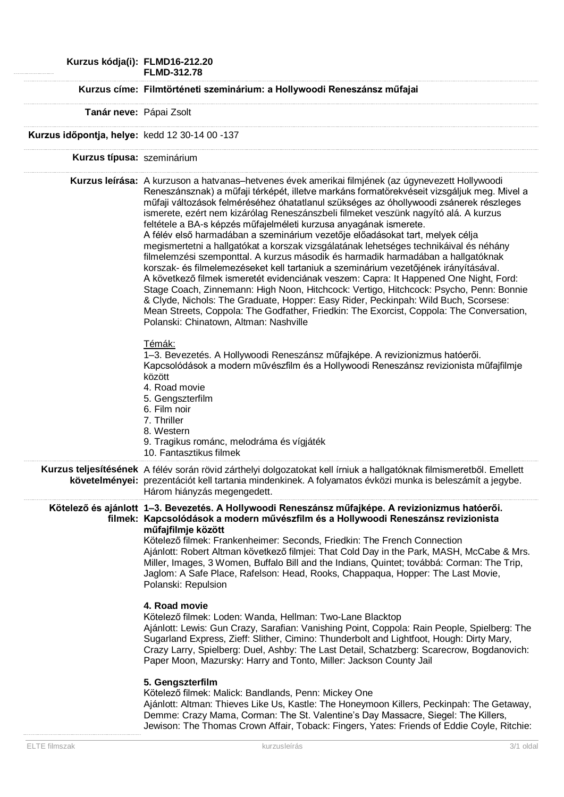**Kurzus kódja(i): FLMD16-212.20 FLMD-312.78 Kurzus címe: Filmtörténeti szeminárium: a Hollywoodi Reneszánsz műfajai Tanár neve:** Pápai Zsolt **Kurzus időpontja, helye:** kedd 12 30-14 00 -137 **Kurzus típusa:** szeminárium **Kurzus leírása:** A kurzuson a hatvanas–hetvenes évek amerikai filmjének (az úgynevezett Hollywoodi Reneszánsznak) a műfaji térképét, illetve markáns formatörekvéseit vizsgáljuk meg. Mivel a műfaji változások felméréséhez óhatatlanul szükséges az óhollywoodi zsánerek részleges ismerete, ezért nem kizárólag Reneszánszbeli filmeket veszünk nagyító alá. A kurzus feltétele a BA-s képzés műfajelméleti kurzusa anyagának ismerete. A félév első harmadában a szeminárium vezetője előadásokat tart, melyek célja megismertetni a hallgatókat a korszak vizsgálatának lehetséges technikáival és néhány filmelemzési szemponttal. A kurzus második és harmadik harmadában a hallgatóknak korszak- és filmelemezéseket kell tartaniuk a szeminárium vezetőjének irányításával. A következő filmek ismeretét evidenciának veszem: Capra: It Happened One Night, Ford: Stage Coach, Zinnemann: High Noon, Hitchcock: Vertigo, Hitchcock: Psycho, Penn: Bonnie & Clyde, Nichols: The Graduate, Hopper: Easy Rider, Peckinpah: Wild Buch, Scorsese: Mean Streets, Coppola: The Godfather, Friedkin: The Exorcist, Coppola: The Conversation, Polanski: Chinatown, Altman: Nashville Témák: 1–3. Bevezetés. A Hollywoodi Reneszánsz műfajképe. A revizionizmus hatóerői. Kapcsolódások a modern művészfilm és a Hollywoodi Reneszánsz revizionista műfajfilmje között 4. Road movie 5. Gengszterfilm 6. Film noir 7. Thriller 8. Western 9. Tragikus románc, melodráma és vígjáték 10. Fantasztikus filmek **Kurzus teljesítésének**  A félév során rövid zárthelyi dolgozatokat kell írniuk a hallgatóknak filmismeretből. Emellett **követelményei:** prezentációt kell tartania mindenkinek. A folyamatos évközi munka is beleszámít a jegybe. Három hiányzás megengedett. **Kötelező és ajánlott 1–3. Bevezetés. A Hollywoodi Reneszánsz műfajképe. A revizionizmus hatóerői. filmek: Kapcsolódások a modern művészfilm és a Hollywoodi Reneszánsz revizionista műfajfilmje között** Kötelező filmek: Frankenheimer: Seconds, Friedkin: The French Connection Ajánlott: Robert Altman következő filmjei: That Cold Day in the Park, MASH, McCabe & Mrs. Miller, Images, 3 Women, Buffalo Bill and the Indians, Quintet; továbbá: Corman: The Trip, Jaglom: A Safe Place, Rafelson: Head, Rooks, Chappaqua, Hopper: The Last Movie, Polanski: Repulsion **4. Road movie** Kötelező filmek: Loden: Wanda, Hellman: Two-Lane Blacktop Ajánlott: Lewis: Gun Crazy, Sarafian: Vanishing Point, Coppola: Rain People, Spielberg: The Sugarland Express, Zieff: Slither, Cimino: Thunderbolt and Lightfoot, Hough: Dirty Mary, Crazy Larry, Spielberg: Duel, Ashby: The Last Detail, Schatzberg: Scarecrow, Bogdanovich: Paper Moon, Mazursky: Harry and Tonto, Miller: Jackson County Jail **5. Gengszterfilm** Kötelező filmek: Malick: Bandlands, Penn: Mickey One Ajánlott: Altman: Thieves Like Us, Kastle: The Honeymoon Killers, Peckinpah: The Getaway, Demme: Crazy Mama, Corman: The St. Valentine's Day Massacre, Siegel: The Killers, Jewison: The Thomas Crown Affair, Toback: Fingers, Yates: Friends of Eddie Coyle, Ritchie: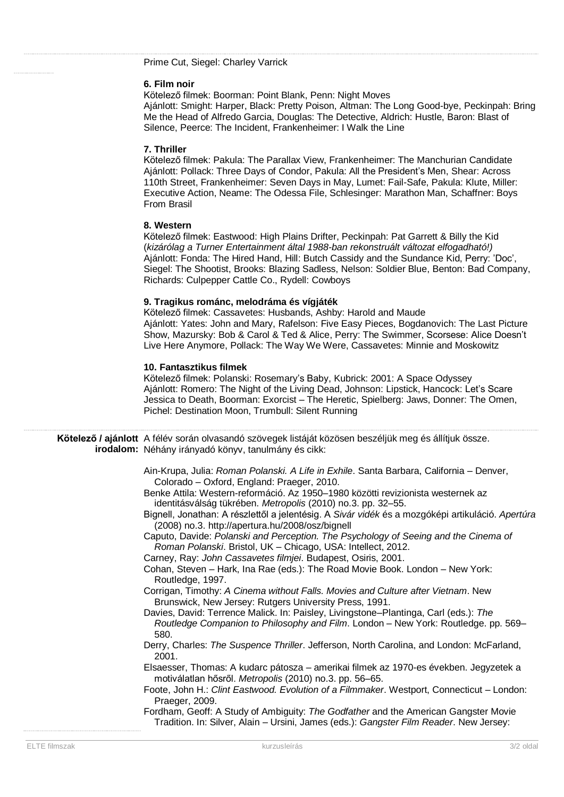Prime Cut, Siegel: Charley Varrick

#### **6. Film noir**

Kötelező filmek: Boorman: Point Blank, Penn: Night Moves

Ajánlott: Smight: Harper, Black: Pretty Poison, Altman: The Long Good-bye, Peckinpah: Bring Me the Head of Alfredo Garcia, Douglas: The Detective, Aldrich: Hustle, Baron: Blast of Silence, Peerce: The Incident, Frankenheimer: I Walk the Line

### **7. Thriller**

Kötelező filmek: Pakula: The Parallax View, Frankenheimer: The Manchurian Candidate Ajánlott: Pollack: Three Days of Condor, Pakula: All the President's Men, Shear: Across 110th Street, Frankenheimer: Seven Days in May, Lumet: Fail-Safe, Pakula: Klute, Miller: Executive Action, Neame: The Odessa File, Schlesinger: Marathon Man, Schaffner: Boys From Brasil

#### **8. Western**

Kötelező filmek: Eastwood: High Plains Drifter, Peckinpah: Pat Garrett & Billy the Kid (*kizárólag a Turner Entertainment által 1988-ban rekonstruált változat elfogadható!)* Ajánlott: Fonda: The Hired Hand, Hill: Butch Cassidy and the Sundance Kid, Perry: 'Doc', Siegel: The Shootist, Brooks: Blazing Sadless, Nelson: Soldier Blue, Benton: Bad Company, Richards: Culpepper Cattle Co., Rydell: Cowboys

## **9. Tragikus románc, melodráma és vígjáték**

Kötelező filmek: Cassavetes: Husbands, Ashby: Harold and Maude Ajánlott: Yates: John and Mary, Rafelson: Five Easy Pieces, Bogdanovich: The Last Picture Show, Mazursky: Bob & Carol & Ted & Alice, Perry: The Swimmer, Scorsese: Alice Doesn't Live Here Anymore, Pollack: The Way We Were, Cassavetes: Minnie and Moskowitz

# **10. Fantasztikus filmek**

Kötelező filmek: Polanski: Rosemary's Baby, Kubrick: 2001: A Space Odyssey Ajánlott: Romero: The Night of the Living Dead, Johnson: Lipstick, Hancock: Let's Scare Jessica to Death, Boorman: Exorcist – The Heretic, Spielberg: Jaws, Donner: The Omen, Pichel: Destination Moon, Trumbull: Silent Running

| Kötelező / ajánlott A félév során olvasandó szövegek listáját közösen beszéljük meg és állítjuk össze. |
|--------------------------------------------------------------------------------------------------------|
| irodalom: Néhány irányadó könyv, tanulmány és cikk:                                                    |

- Ain-Krupa, Julia: *Roman Polanski. A Life in Exhile*. Santa Barbara, California Denver, Colorado – Oxford, England: Praeger, 2010.
- Benke Attila: Western-reformáció. Az 1950–1980 közötti revizionista westernek az identitásválság tükrében. *Metropolis* (2010) no.3. pp. 32–55.
- Bignell, Jonathan: A részlettől a jelentésig. A *Sivár vidék* és a mozgóképi artikuláció. *Apertúra* (2008) no.3. http://apertura.hu/2008/osz/bignell
- Caputo, Davide: *Polanski and Perception. The Psychology of Seeing and the Cinema of Roman Polanski*. Bristol, UK – Chicago, USA: Intellect, 2012.
- Carney, Ray: *John Cassavetes filmjei*. Budapest, Osiris, 2001.
- Cohan, Steven Hark, Ina Rae (eds.): The Road Movie Book. London New York: Routledge, 1997.
- Corrigan, Timothy: *A Cinema without Falls. Movies and Culture after Vietnam*. New Brunswick, New Jersey: Rutgers University Press, 1991.
- Davies, David: Terrence Malick. In: Paisley, Livingstone–Plantinga, Carl (eds.): *The Routledge Companion to Philosophy and Film*. London – New York: Routledge. pp. 569– 580.
- Derry, Charles: *The Suspence Thriller*. Jefferson, North Carolina, and London: McFarland, 2001.
- Elsaesser, Thomas: A kudarc pátosza amerikai filmek az 1970-es években. Jegyzetek a motiválatlan hősről. *Metropolis* (2010) no.3. pp. 56–65.
- Foote, John H.: *Clint Eastwood. Evolution of a Filmmaker*. Westport, Connecticut London: Praeger, 2009.
- Fordham, Geoff: A Study of Ambiguity: *The Godfather* and the American Gangster Movie Tradition. In: Silver, Alain – Ursini, James (eds.): *Gangster Film Reader*. New Jersey: